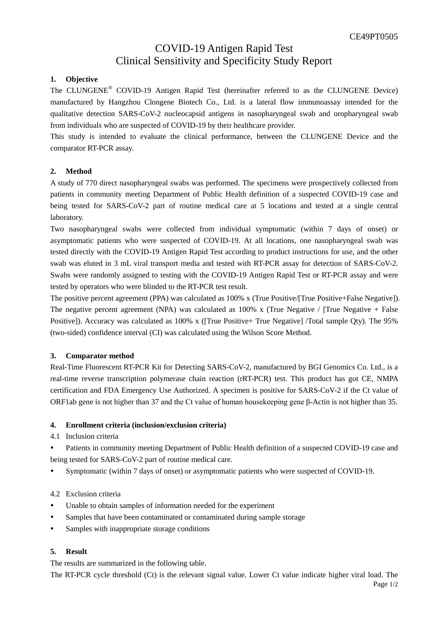# COVID-19 Antigen Rapid Test Clinical Sensitivity and Specificity Study Report

## **1. Objective**

The CLUNGENE® COVID-19 Antigen Rapid Test (hereinafter referred to as the CLUNGENE Device) manufactured by Hangzhou Clongene Biotech Co., Ltd. is a lateral flow immunoassay intended for the qualitative detection SARS-CoV-2 nucleocapsid antigens in nasopharyngeal swab and oropharyngeal swab from individuals who are suspected of COVID-19 by their healthcare provider.

This study is intended to evaluate the clinical performance, between the CLUNGENE Device and the comparator RT-PCR assay.

## **2. Method**

A study of 770 direct nasopharyngeal swabs was performed. The specimens were prospectively collected from patients in community meeting Department of Public Health definition of a suspected COVID-19 case and being tested for SARS-CoV-2 part of routine medical care at 5 locations and tested at a single central laboratory.

Two nasopharyngeal swabs were collected from individual symptomatic (within 7 days of onset) or asymptomatic patients who were suspected of COVID-19. At all locations, one nasopharyngeal swab was tested directly with the COVID-19 Antigen Rapid Test according to product instructions for use, and the other swab was eluted in 3 mL viral transport media and tested with RT-PCR assay for detection of SARS-CoV-2. Swabs were randomly assigned to testing with the COVID-19 Antigen Rapid Test or RT-PCR assay and were tested by operators who were blinded to the RT-PCR test result.

The positive percent agreement (PPA) was calculated as 100% x (True Positive/[True Positive+False Negative]). The negative percent agreement (NPA) was calculated as 100% x (True Negative / [True Negative + False Positive]). Accuracy was calculated as 100% x ([True Positive+ True Negative] /Total sample Qty). The 95% (two-sided) confidence interval (CI) was calculated using the Wilson Score Method.

#### **3. Comparator method**

Real-Time Fluorescent RT-PCR Kit for Detecting SARS-CoV-2, manufactured by BGI Genomics Co. Ltd., is a real-time reverse transcription polymerase chain reaction (rRT-PCR) test. This product has got CE, NMPA certification and FDA Emergency Use Authorized. A specimen is positive for SARS-CoV-2 if the Ct value of ORF1ab gene is not higher than 37 and the Ct value of human housekeeping gene β-Actin is not higher than 35.

#### **4. Enrollment criteria (inclusion/exclusion criteria)**

- 4.1 Inclusion criteria
- Patients in community meeting Department of Public Health definition of a suspected COVID-19 case and being tested for SARS-CoV-2 part of routine medical care.
- Symptomatic (within 7 days of onset) or asymptomatic patients who were suspected of COVID-19.

#### 4.2 Exclusion criteria

- Unable to obtain samples of information needed for the experiment
- Samples that have been contaminated or contaminated during sample storage
- Samples with inappropriate storage conditions

#### **5. Result**

The results are summarized in the following table.

Page 1/2 The RT-PCR cycle threshold (Ct) is the relevant signal value. Lower Ct value indicate higher viral load. The